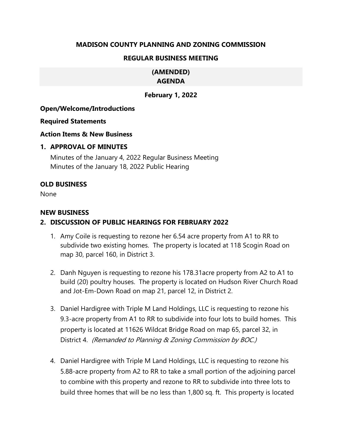## **MADISON COUNTY PLANNING AND ZONING COMMISSION**

## **REGULAR BUSINESS MEETING**

#### **(AMENDED) AGENDA**

# **February 1, 2022**

## **Open/Welcome/Introductions**

#### **Required Statements**

#### **Action Items & New Business**

#### **1. APPROVAL OF MINUTES**

Minutes of the January 4, 2022 Regular Business Meeting Minutes of the January 18, 2022 Public Hearing

## **OLD BUSINESS**

None

#### **NEW BUSINESS**

## **2. DISCUSSION OF PUBLIC HEARINGS FOR FEBRUARY 2022**

- 1. Amy Coile is requesting to rezone her 6.54 acre property from A1 to RR to subdivide two existing homes. The property is located at 118 Scogin Road on map 30, parcel 160, in District 3.
- 2. Danh Nguyen is requesting to rezone his 178.31acre property from A2 to A1 to build (20) poultry houses. The property is located on Hudson River Church Road and Jot-Em-Down Road on map 21, parcel 12, in District 2.
- 3. Daniel Hardigree with Triple M Land Holdings, LLC is requesting to rezone his 9.3-acre property from A1 to RR to subdivide into four lots to build homes. This property is located at 11626 Wildcat Bridge Road on map 65, parcel 32, in District 4. (Remanded to Planning & Zoning Commission by BOC.)
- 4. Daniel Hardigree with Triple M Land Holdings, LLC is requesting to rezone his 5.88-acre property from A2 to RR to take a small portion of the adjoining parcel to combine with this property and rezone to RR to subdivide into three lots to build three homes that will be no less than 1,800 sq. ft. This property is located